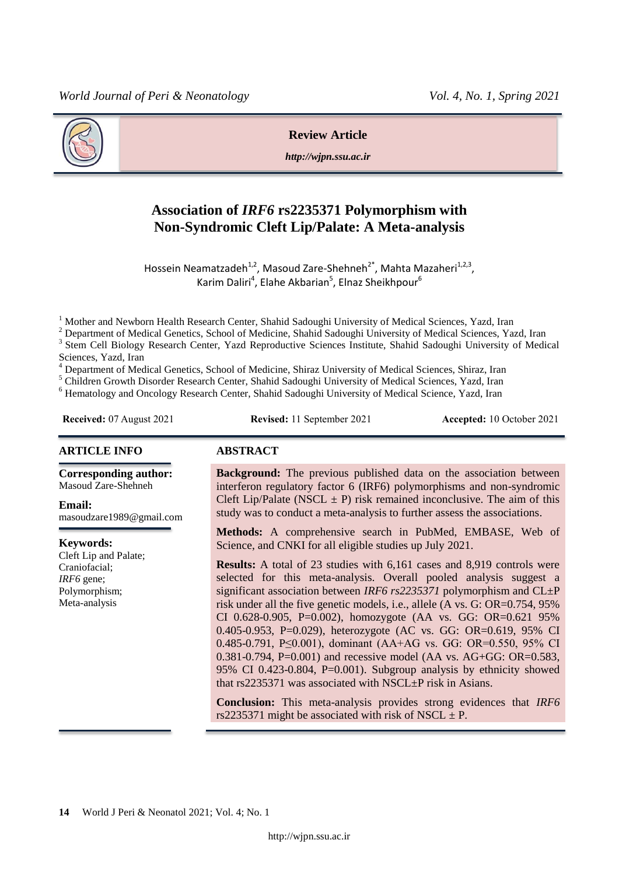

#### **Review Article**

*http://wjpn.ssu.ac.ir*

# **Association of** *IRF6* **rs2235371 Polymorphism with Non-Syndromic Cleft Lip/Palate: A Meta-analysis**

Hossein Neamatzadeh<sup>1,2</sup>, Masoud Zare-Shehneh<sup>2\*</sup>, Mahta Mazaheri<sup>1,2,3</sup>, Karim Daliri<sup>4</sup>, Elahe Akbarian<sup>5</sup>, Elnaz Sheikhpour<sup>6</sup>

<sup>1</sup> Mother and Newborn Health Research Center, Shahid Sadoughi University of Medical Sciences, Yazd, Iran

<sup>2</sup> Department of Medical Genetics, School of Medicine, Shahid Sadoughi University of Medical Sciences, Yazd, Iran

<sup>3</sup> Stem Cell Biology Research Center, Yazd Reproductive Sciences Institute, Shahid Sadoughi University of Medical Sciences, Yazd, Iran

<sup>4</sup> Department of Medical Genetics, School of Medicine, Shiraz University of Medical Sciences, Shiraz, Iran

<sup>5</sup> Children Growth Disorder Research Center, Shahid Sadoughi University of Medical Sciences, Yazd, Iran

<sup>6</sup> Hematology and Oncology Research Center, Shahid Sadoughi University of Medical Science, Yazd, Iran

**Received:** 07 August 2021 **Revised:** 11 September 2021 **Accepted:** 10 October 2021

#### **ARTICLE INFO ABSTRACT**

**Corresponding author:** Masoud Zare-Shehneh

**Email:** 

masoudzare1989@gmail.com

**Keywords:** 

Cleft Lip and Palate; Craniofacial; *IRF6* gene; Polymorphism; Meta-analysis

**Background:** The previous published data on the association between interferon regulatory factor 6 (IRF6) polymorphisms and non-syndromic Cleft Lip/Palate (NSCL  $\pm$  P) risk remained inconclusive. The aim of this study was to conduct a meta-analysis to further assess the associations.

**Methods:** A comprehensive search in PubMed, EMBASE, Web of Science, and CNKI for all eligible studies up July 2021.

**Results:** A total of 23 studies with 6,161 cases and 8,919 controls were selected for this meta-analysis. Overall pooled analysis suggest a significant association between *IRF6 rs2235371* polymorphism and CL±P risk under all the five genetic models, i.e., allele (A vs. G: OR=0.754, 95% CI 0.628-0.905, P=0.002), homozygote (AA vs. GG: OR=0.621 95% 0.405-0.953, P=0.029), heterozygote (AC vs. GG: OR=0.619, 95% CI 0.485-0.791, P≤0.001), dominant (AA+AG vs. GG: OR=0.550, 95% CI  $0.381 - 0.794$ , P=0.001) and recessive model (AA vs. AG+GG: OR=0.583, 95% CI 0.423-0.804, P=0.001). Subgroup analysis by ethnicity showed that rs2235371 was associated with NSCL±P risk in Asians.

**Conclusion:** This meta-analysis provides strong evidences that *IRF6* rs2235371 might be associated with risk of NSCL  $\pm$  P.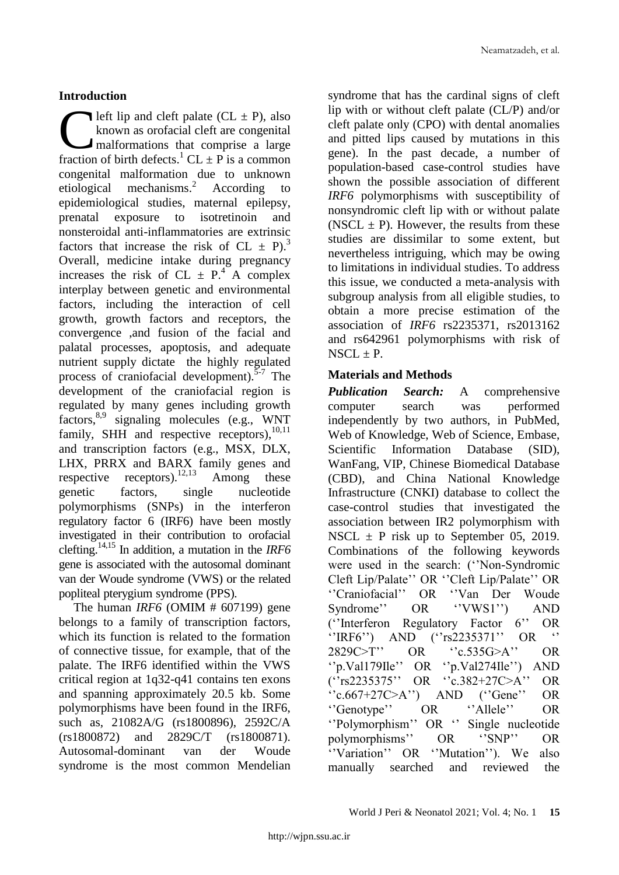# **Introduction**

left lip and cleft palate  $(CL \pm P)$ , also known as orofacial cleft are congenital malformations that comprise a large **Figure 1** left lip and cleft palate (CL  $\pm$  P), also known as orofacial cleft are congenital malformations that comprise a large fraction of birth defects.<sup>1</sup> CL  $\pm$  P is a common congenital malformation due to unknown etiological mechanisms. According to epidemiological studies, maternal epilepsy, prenatal exposure to isotretinoin and nonsteroidal anti-inflammatories are extrinsic factors that increase the risk of CL  $\pm$  P).<sup>3</sup> Overall, medicine intake during pregnancy increases the risk of CL  $\pm$  P.<sup>4</sup> A complex interplay between genetic and environmental factors, including the interaction of cell growth, growth factors and receptors, the convergence ,and fusion of the facial and palatal processes, apoptosis, and adequate nutrient supply dictate the highly regulated process of craniofacial development).<sup>5-7</sup> The development of the craniofacial region is regulated by many genes including growth factors, 8,9 signaling molecules (e.g., WNT family, SHH and respective receptors),<sup>10,11</sup> and transcription factors (e.g., MSX, DLX, LHX, PRRX and BARX family genes and respective receptors).  $^{12,13}$ Among these genetic factors, single nucleotide polymorphisms (SNPs) in the interferon regulatory factor 6 (IRF6) have been mostly investigated in their contribution to orofacial clefting.14,15 In addition, a mutation in the *IRF6* gene is associated with the autosomal dominant van der Woude syndrome (VWS) or the related popliteal pterygium syndrome (PPS).

The human *IRF6* (OMIM # 607199) gene belongs to a family of transcription factors, which its function is related to the formation of connective tissue, for example, that of the palate. The IRF6 identified within the VWS critical region at 1q32-q41 contains ten exons and spanning approximately 20.5 kb. Some polymorphisms have been found in the IRF6, such as, 21082A/G (rs1800896), 2592C/A (rs1800872) and 2829C/T (rs1800871). Autosomal-dominant van der Woude syndrome is the most common Mendelian syndrome that has the cardinal signs of cleft lip with or without cleft palate (CL/P) and/or cleft palate only (CPO) with dental anomalies and pitted lips caused by mutations in this gene). In the past decade, a number of population-based case-control studies have shown the possible association of different *IRF6* polymorphisms with susceptibility of nonsyndromic cleft lip with or without palate (NSCL  $\pm$  P). However, the results from these studies are dissimilar to some extent, but nevertheless intriguing, which may be owing to limitations in individual studies. To address this issue, we conducted a meta-analysis with subgroup analysis from all eligible studies, to obtain a more precise estimation of the association of *IRF6* rs2235371, rs2013162 and rs642961 polymorphisms with risk of  $NSCL \pm P$ .

## **Materials and Methods**

*Publication Search:* A comprehensive computer search was performed independently by two authors, in PubMed, Web of Knowledge, Web of Science, Embase, Scientific Information Database (SID), WanFang, VIP, Chinese Biomedical Database (CBD), and China National Knowledge Infrastructure (CNKI) database to collect the case-control studies that investigated the association between IR2 polymorphism with NSCL  $\pm$  P risk up to September 05, 2019. Combinations of the following keywords were used in the search: ("Non-Syndromic Cleft Lip/Palate" OR "Cleft Lip/Palate" OR "Craniofacial" OR "Van Der Woude Syndrome" OR "VWS1") AND (""Interferon Regulatory Factor 6"" OR "IRF6") AND ("rs2235371" OR 2829C>T" OR "c.535G>A" OR "p.Val179Ile" OR "p.Val274Ile") AND (""rs2235375"" OR ""c.382+27C>A"" OR  $C$ :  $(667+27C>A)$  AND  $(C)$ Gene'' OR "Genotype" OR "Allele" OR "Polymorphism" OR " Single nucleotide polymorphisms"" OR ""SNP"" OR "Variation" OR "Mutation"). We also manually searched and reviewed the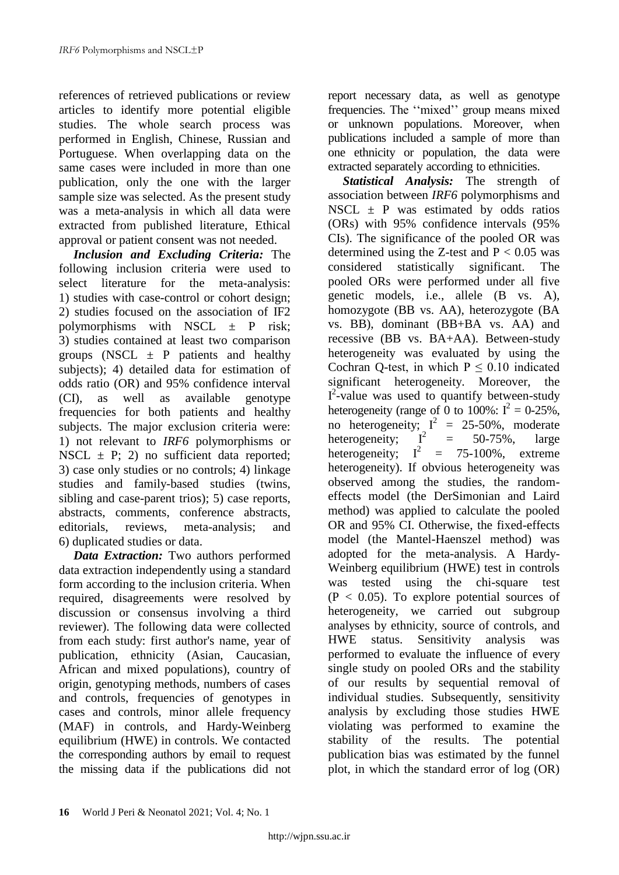references of retrieved publications or review articles to identify more potential eligible studies. The whole search process was performed in English, Chinese, Russian and Portuguese. When overlapping data on the same cases were included in more than one publication, only the one with the larger sample size was selected. As the present study was a meta-analysis in which all data were extracted from published literature, Ethical approval or patient consent was not needed.

*Inclusion and Excluding Criteria:* The following inclusion criteria were used to select literature for the meta-analysis: 1) studies with case-control or cohort design; 2) studies focused on the association of IF2 polymorphisms with NSCL  $\pm$  P risk; 3) studies contained at least two comparison groups (NSCL  $\pm$  P patients and healthy subjects); 4) detailed data for estimation of odds ratio (OR) and 95% confidence interval (CI), as well as available genotype frequencies for both patients and healthy subjects. The major exclusion criteria were: 1) not relevant to *IRF6* polymorphisms or NSCL  $\pm$  P; 2) no sufficient data reported; 3) case only studies or no controls; 4) linkage studies and family-based studies (twins, sibling and case-parent trios); 5) case reports, abstracts, comments, conference abstracts, editorials, reviews, meta-analysis; and 6) duplicated studies or data.

*Data Extraction:* Two authors performed data extraction independently using a standard form according to the inclusion criteria. When required, disagreements were resolved by discussion or consensus involving a third reviewer). The following data were collected from each study: first author's name, year of publication, ethnicity (Asian, Caucasian, African and mixed populations), country of origin, genotyping methods, numbers of cases and controls, frequencies of genotypes in cases and controls, minor allele frequency (MAF) in controls, and Hardy-Weinberg equilibrium (HWE) in controls. We contacted the corresponding authors by email to request the missing data if the publications did not report necessary data, as well as genotype frequencies. The "mixed" group means mixed or unknown populations. Moreover, when publications included a sample of more than one ethnicity or population, the data were extracted separately according to ethnicities.

*Statistical Analysis:* The strength of association between *IRF6* polymorphisms and NSCL  $\pm$  P was estimated by odds ratios (ORs) with 95% confidence intervals (95% CIs). The significance of the pooled OR was determined using the Z-test and  $P < 0.05$  was considered statistically significant. The pooled ORs were performed under all five genetic models, i.e., allele (B vs. A), homozygote (BB vs. AA), heterozygote (BA vs. BB), dominant (BB+BA vs. AA) and recessive (BB vs. BA+AA). Between-study heterogeneity was evaluated by using the Cochran Q-test, in which  $P \le 0.10$  indicated significant heterogeneity. Moreover, the  $I^2$ -value was used to quantify between-study heterogeneity (range of 0 to 100%:  $I^2 = 0.25\%$ , no heterogeneity;  $I^2 = 25-50\%$ , moderate heterogeneity;  $I^2 =$ = 50-75%, large heterogeneity;  $I^2 = 75{\text -}100\%$ , extreme heterogeneity). If obvious heterogeneity was observed among the studies, the randomeffects model (the DerSimonian and Laird method) was applied to calculate the pooled OR and 95% CI. Otherwise, the fixed-effects model (the Mantel-Haenszel method) was adopted for the meta-analysis. A Hardy-Weinberg equilibrium (HWE) test in controls was tested using the chi-square test  $(P < 0.05)$ . To explore potential sources of heterogeneity, we carried out subgroup analyses by ethnicity, source of controls, and HWE status. Sensitivity analysis was performed to evaluate the influence of every single study on pooled ORs and the stability of our results by sequential removal of individual studies. Subsequently, sensitivity analysis by excluding those studies HWE violating was performed to examine the stability of the results. The potential publication bias was estimated by the funnel plot, in which the standard error of log (OR)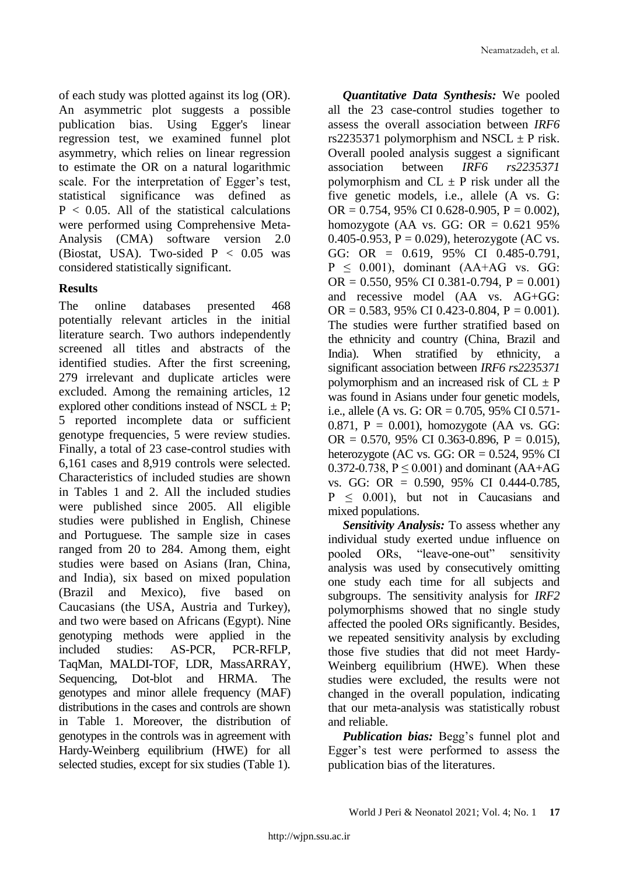of each study was plotted against its log (OR). An asymmetric plot suggests a possible publication bias. Using Egger's linear regression test, we examined funnel plot asymmetry, which relies on linear regression to estimate the OR on a natural logarithmic scale. For the interpretation of Egger's test, statistical significance was defined as  $P < 0.05$ . All of the statistical calculations were performed using Comprehensive Meta-Analysis (CMA) software version 2.0 (Biostat, USA). Two-sided  $P < 0.05$  was considered statistically significant.

## **Results**

The online databases presented 468 potentially relevant articles in the initial literature search. Two authors independently screened all titles and abstracts of the identified studies. After the first screening, 279 irrelevant and duplicate articles were excluded. Among the remaining articles, 12 explored other conditions instead of NSCL  $\pm$  P; 5 reported incomplete data or sufficient genotype frequencies, 5 were review studies. Finally, a total of 23 case-control studies with 6,161 cases and 8,919 controls were selected. Characteristics of included studies are shown in Tables 1 and 2. All the included studies were published since 2005. All eligible studies were published in English, Chinese and Portuguese*.* The sample size in cases ranged from 20 to 284. Among them, eight studies were based on Asians (Iran, China, and India), six based on mixed population (Brazil and Mexico), five based on Caucasians (the USA, Austria and Turkey), and two were based on Africans (Egypt). Nine genotyping methods were applied in the included studies: AS-PCR, PCR-RFLP, TaqMan, MALDI-TOF, LDR, MassARRAY, Sequencing, Dot-blot and HRMA. The genotypes and minor allele frequency (MAF) distributions in the cases and controls are shown in Table 1. Moreover, the distribution of genotypes in the controls was in agreement with Hardy-Weinberg equilibrium (HWE) for all selected studies, except for six studies (Table 1).

*Quantitative Data Synthesis:* We pooled all the 23 case-control studies together to assess the overall association between *IRF6* rs2235371 polymorphism and NSCL  $\pm$  P risk. Overall pooled analysis suggest a significant association between *IRF6 rs2235371* polymorphism and  $CL \pm P$  risk under all the five genetic models, i.e., allele (A vs. G: OR =  $0.754$ , 95% CI 0.628-0.905, P = 0.002), homozygote (AA vs. GG:  $OR = 0.621$  95% 0.405-0.953,  $P = 0.029$ ), heterozygote (AC vs. GG: OR = 0.619, 95% CI 0.485-0.791,  $P \leq 0.001$ ), dominant (AA+AG vs. GG: OR =  $0.550, 95\%$  CI 0.381-0.794, P = 0.001) and recessive model (AA vs. AG+GG: OR =  $0.583$ , 95% CI 0.423-0.804, P = 0.001). The studies were further stratified based on the ethnicity and country (China, Brazil and India). When stratified by ethnicity, a significant association between *IRF6 rs2235371* polymorphism and an increased risk of  $CL \pm P$ was found in Asians under four genetic models, i.e., allele (A vs. G: OR =  $0.705$ , 95% CI 0.571-0.871,  $P = 0.001$ ), homozygote (AA vs. GG: OR =  $0.570$ , 95% CI 0.363-0.896, P = 0.015), heterozygote (AC vs. GG:  $OR = 0.524$ , 95% CI 0.372-0.738,  $P \le 0.001$ ) and dominant (AA+AG vs. GG: OR = 0.590, 95% CI 0.444-0.785,  $P \leq 0.001$ , but not in Caucasians and mixed populations.

*Sensitivity Analysis:* To assess whether any individual study exerted undue influence on pooled ORs, "leave-one-out" sensitivity analysis was used by consecutively omitting one study each time for all subjects and subgroups. The sensitivity analysis for *IRF2* polymorphisms showed that no single study affected the pooled ORs significantly. Besides, we repeated sensitivity analysis by excluding those five studies that did not meet Hardy-Weinberg equilibrium (HWE). When these studies were excluded, the results were not changed in the overall population, indicating that our meta-analysis was statistically robust and reliable.

*Publication bias:* Begg's funnel plot and Egger"s test were performed to assess the publication bias of the literatures.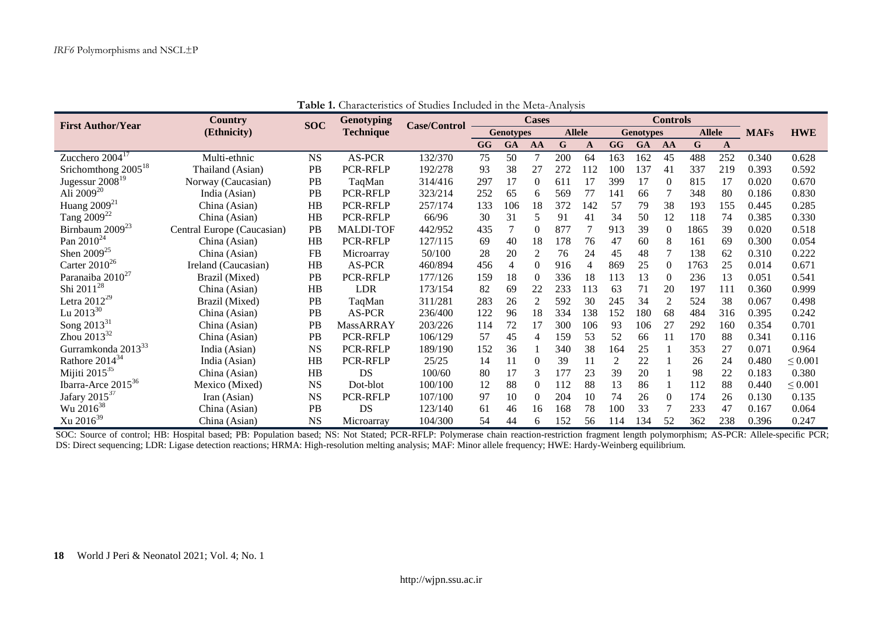| <b>First Author/Year</b>       | Country                    | <b>SOC</b> | <b>Genotyping</b> | <b>Case/Control</b> | <b>Cases</b>     |                |               |               |     | <b>Controls</b>  |     |                |               |              |             |              |
|--------------------------------|----------------------------|------------|-------------------|---------------------|------------------|----------------|---------------|---------------|-----|------------------|-----|----------------|---------------|--------------|-------------|--------------|
|                                | (Ethnicity)                |            | <b>Technique</b>  |                     | <b>Genotypes</b> |                |               | <b>Allele</b> |     | <b>Genotypes</b> |     |                | <b>Allele</b> |              | <b>MAFs</b> | <b>HWE</b>   |
|                                |                            |            |                   |                     | GG               | GA             | AA            | $\mathbf G$   | A   | GG               | GA  | AA             | $\mathbf G$   | $\mathbf{A}$ |             |              |
| Zucchero $2004^{17}$           | Multi-ethnic               | <b>NS</b>  | AS-PCR            | 132/370             | 75               | 50             |               | 200           | 64  | 163              | 162 | 45             | 488           | 252          | 0.340       | 0.628        |
| Srichomthong $2005^{18}$       | Thailand (Asian)           | <b>PB</b>  | <b>PCR-RFLP</b>   | 192/278             | 93               | 38             | 27            | 272           | 112 | 100              | 137 | 41             | 337           | 219          | 0.393       | 0.592        |
| Jugessur 2008 <sup>19</sup>    | Norway (Caucasian)         | PB         | TaqMan            | 314/416             | 297              | 17             | $\Omega$      | 611           | 17  | 399              | 17  | $\theta$       | 815           | 17           | 0.020       | 0.670        |
| Ali 2009 <sup>20</sup>         | India (Asian)              | PB         | PCR-RFLP          | 323/214             | 252              | 65             | 6             | 569           | 77  | 141              | 66  |                | 348           | 80           | 0.186       | 0.830        |
| Huang $2009^{21}$              | China (Asian)              | HB         | PCR-RFLP          | 257/174             | 133              | 106            | 18            | 372           | 142 | 57               | 79  | 38             | 193           | 155          | 0.445       | 0.285        |
| Tang 2009 <sup>22</sup>        | China (Asian)              | HB         | PCR-RFLP          | 66/96               | 30               | 31             | 5             | 91            | 41  | 34               | 50  | 12             | 118           | 74           | 0.385       | 0.330        |
| Birnbaum 2009 <sup>23</sup>    | Central Europe (Caucasian) | PB         | <b>MALDI-TOF</b>  | 442/952             | 435              | 7              | $\Omega$      | 877           |     | 913              | 39  | $\Omega$       | 1865          | 39           | 0.020       | 0.518        |
| Pan $2010^{24}$                | China (Asian)              | HB         | PCR-RFLP          | 127/115             | 69               | 40             | 18            | 178           | 76  | 47               | 60  | 8              | 161           | 69           | 0.300       | 0.054        |
| Shen $2009^{25}$               | China (Asian)              | FB         | Microarray        | 50/100              | 28               | 20             | 2             | 76            | 24  | 45               | 48  |                | 138           | 62           | 0.310       | 0.222        |
| Carter $2010^{26}$             | Ireland (Caucasian)        | HB         | AS-PCR            | 460/894             | 456              | $\overline{4}$ | $\Omega$      | 916           | 4   | 869              | 25  | $\Omega$       | 1763          | 25           | 0.014       | 0.671        |
| Paranaiba 2010 <sup>27</sup>   | Brazil (Mixed)             | <b>PB</b>  | PCR-RFLP          | 177/126             | 159              | 18             | $\Omega$      | 336           | 18  | 113              | 13  | $\theta$       | 236           | 13           | 0.051       | 0.541        |
| Shi 2011 <sup>28</sup>         | China (Asian)              | H B        | <b>LDR</b>        | 173/154             | 82               | 69             | 22            | 233           | 113 | 63               | 71  | 20             | 197           | 111          | 0.360       | 0.999        |
| Letra $2012^{29}$              | Brazil (Mixed)             | PB         | TaqMan            | 311/281             | 283              | 26             | 2             | 592           | 30  | 245              | 34  | $\overline{c}$ | 524           | 38           | 0.067       | 0.498        |
| Lu $2013^{30}$                 | China (Asian)              | PB         | AS-PCR            | 236/400             | 122              | 96             | 18            | 334           | 138 | 152              | 180 | 68             | 484           | 316          | 0.395       | 0.242        |
| Song 2013 <sup>31</sup>        | China (Asian)              | PB         | <b>MassARRAY</b>  | 203/226             | 114              | 72             | 17            | 300           | 106 | 93               | 106 | 27             | 292           | 160          | 0.354       | 0.701        |
| Zhou $2013^{32}$               | China (Asian)              | PB         | PCR-RFLP          | 106/129             | 57               | 45             | 4             | 159           | 53  | 52               | 66  | 11             | 170           | 88           | 0.341       | 0.116        |
| Gurramkonda 2013 <sup>33</sup> | India (Asian)              | <b>NS</b>  | PCR-RFLP          | 189/190             | 152              | 36             |               | 340           | 38  | 164              | 25  |                | 353           | 27           | 0.071       | 0.964        |
| Rathore $2014^{34}$            | India (Asian)              | HB         | PCR-RFLP          | 25/25               | 14               | 11             | $\Omega$      | 39            | 11  | $\overline{2}$   | 22  |                | 26            | 24           | 0.480       | $\leq 0.001$ |
| Mijiti 2015 $35$               | China (Asian)              | HB         | DS                | 100/60              | 80               | 17             | $\mathcal{F}$ | 177           | 23  | 39               | 20  |                | 98            | 22           | 0.183       | 0.380        |
| Ibarra-Arce $2015^{36}$        | Mexico (Mixed)             | <b>NS</b>  | Dot-blot          | 100/100             | 12               | 88             | $\left($      | 112           | 88  | 13               | 86  |                | 112           | 88           | 0.440       | $\leq 0.001$ |
| Jafary $2015^{37}$             | Iran (Asian)               | <b>NS</b>  | PCR-RFLP          | 107/100             | 97               | 10             | $\theta$      | 204           | 10  | 74               | 26  | $\Omega$       | 174           | 26           | 0.130       | 0.135        |
| Wu 2016 <sup>38</sup>          | China (Asian)              | <b>PB</b>  | <b>DS</b>         | 123/140             | 61               | 46             | 16            | 168           | 78  | 100              | 33  |                | 233           | 47           | 0.167       | 0.064        |
| $Xu 2016^{39}$                 | China (Asian)              | <b>NS</b>  | Microarray        | 104/300             | 54               | 44             | 6             | 152           | 56  | 114              | 134 | 52             | 362           | 238          | 0.396       | 0.247        |

**Table 1.** Characteristics of Studies Included in the Meta-Analysis

SOC: Source of control; HB: Hospital based; PB: Population based; NS: Not Stated; PCR-RFLP: Polymerase chain reaction-restriction fragment length polymorphism; AS-PCR: Allele-specific PCR; DS: Direct sequencing; LDR: Ligase detection reactions; HRMA: High-resolution melting analysis; MAF: Minor allele frequency; HWE: Hardy-Weinberg equilibrium.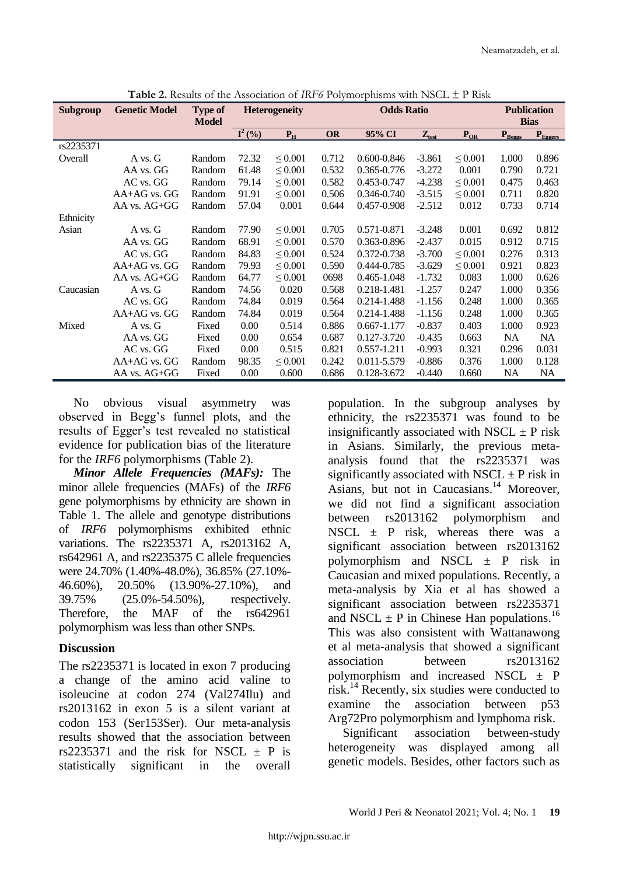| Subgroup  | <b>Genetic Model</b> | <b>Type of</b><br><b>Model</b> |                               | <b>Heterogeneity</b> |           | <b>Odds Ratio</b> | <b>Publication</b><br><b>Bias</b> |              |                    |              |
|-----------|----------------------|--------------------------------|-------------------------------|----------------------|-----------|-------------------|-----------------------------------|--------------|--------------------|--------------|
|           |                      |                                | $\overline{\mathbf{I}^2(\%)}$ | $P_{H}$              | <b>OR</b> | 95% CI            | $Z_{test}$                        | $P_{OR}$     | $P_{\text{Beegs}}$ | $P_{Egeers}$ |
| rs2235371 |                      |                                |                               |                      |           |                   |                                   |              |                    |              |
| Overall   | A vs. G              | Random                         | 72.32                         | $\leq 0.001$         | 0.712     | $0.600 - 0.846$   | $-3.861$                          | $\leq 0.001$ | 1.000              | 0.896        |
|           | AA vs. GG            | Random                         | 61.48                         | $\leq 0.001$         | 0.532     | 0.365-0.776       | $-3.272$                          | 0.001        | 0.790              | 0.721        |
|           | AC vs. GG            | Random                         | 79.14                         | $\leq 0.001$         | 0.582     | 0.453-0.747       | $-4.238$                          | $\leq 0.001$ | 0.475              | 0.463        |
|           | $AA+AG$ vs. $GG$     | Random                         | 91.91                         | $\leq 0.001$         | 0.506     | 0.346-0.740       | $-3.515$                          | $\leq 0.001$ | 0.711              | 0.820        |
|           | AA vs. AG+GG         | Random                         | 57.04                         | 0.001                | 0.644     | 0.457-0.908       | $-2.512$                          | 0.012        | 0.733              | 0.714        |
| Ethnicity |                      |                                |                               |                      |           |                   |                                   |              |                    |              |
| Asian     | A vs. G              | Random                         | 77.90                         | $\leq 0.001$         | 0.705     | 0.571-0.871       | $-3.248$                          | 0.001        | 0.692              | 0.812        |
|           | AA vs. GG            | Random                         | 68.91                         | $\leq 0.001$         | 0.570     | 0.363-0.896       | $-2.437$                          | 0.015        | 0.912              | 0.715        |
|           | AC vs. GG            | Random                         | 84.83                         | $\leq 0.001$         | 0.524     | 0.372-0.738       | $-3.700$                          | $\leq 0.001$ | 0.276              | 0.313        |
|           | $AA+AG$ vs. $GG$     | Random                         | 79.93                         | $\leq 0.001$         | 0.590     | 0.444-0.785       | $-3.629$                          | $\leq 0.001$ | 0.921              | 0.823        |
|           | AA vs. AG+GG         | Random                         | 64.77                         | $\leq 0.001$         | 0698      | 0.465-1.048       | $-1.732$                          | 0.083        | 1.000              | 0.626        |
| Caucasian | A vs. G              | Random                         | 74.56                         | 0.020                | 0.568     | 0.218-1.481       | $-1.257$                          | 0.247        | 1.000              | 0.356        |
|           | AC vs. GG            | Random                         | 74.84                         | 0.019                | 0.564     | 0.214-1.488       | $-1.156$                          | 0.248        | 1.000              | 0.365        |
|           | $AA+AG$ vs. $GG$     | Random                         | 74.84                         | 0.019                | 0.564     | 0.214-1.488       | $-1.156$                          | 0.248        | 1.000              | 0.365        |
| Mixed     | A vs. G              | Fixed                          | 0.00                          | 0.514                | 0.886     | 0.667-1.177       | $-0.837$                          | 0.403        | 1.000              | 0.923        |
|           | AA vs. GG            | Fixed                          | 0.00                          | 0.654                | 0.687     | 0.127-3.720       | $-0.435$                          | 0.663        | <b>NA</b>          | <b>NA</b>    |
|           | AC vs. GG            | Fixed                          | 0.00                          | 0.515                | 0.821     | 0.557-1.211       | $-0.993$                          | 0.321        | 0.296              | 0.031        |
|           | AA+AG vs. GG         | Random                         | 98.35                         | $\leq 0.001$         | 0.242     | 0.011-5.579       | $-0.886$                          | 0.376        | 1.000              | 0.128        |
|           | AA vs. AG+GG         | Fixed                          | 0.00                          | 0.600                | 0.686     | 0.128-3.672       | $-0.440$                          | 0.660        | NA                 | <b>NA</b>    |

**Table 2.** Results of the Association of *IRF6* Polymorphisms with NSCL ± P Risk

No obvious visual asymmetry was observed in Begg"s funnel plots, and the results of Egger"s test revealed no statistical evidence for publication bias of the literature for the *IRF6* polymorphisms (Table 2).

*Minor Allele Frequencies (MAFs):* The minor allele frequencies (MAFs) of the *IRF6*  gene polymorphisms by ethnicity are shown in Table 1. The allele and genotype distributions of *IRF6* polymorphisms exhibited ethnic variations. The rs2235371 A, rs2013162 A, rs642961 A, and rs2235375 C allele frequencies were 24.70% (1.40%-48.0%), 36.85% (27.10%- 46.60%), 20.50% (13.90%-27.10%), and 39.75% (25.0%-54.50%), respectively. Therefore, the MAF of the rs642961 polymorphism was less than other SNPs.

## **Discussion**

The rs2235371 is located in exon 7 producing a change of the amino acid valine to isoleucine at codon 274 (Val274Ilu) and rs2013162 in exon 5 is a silent variant at codon 153 (Ser153Ser). Our meta-analysis results showed that the association between rs2235371 and the risk for NSCL  $\pm$  P is statistically significant in the overall

population. In the subgroup analyses by ethnicity, the rs2235371 was found to be insignificantly associated with NSCL  $\pm$  P risk in Asians. Similarly, the previous metaanalysis found that the rs2235371 was significantly associated with NSCL  $\pm$  P risk in Asians, but not in Caucasians. <sup>14</sup> Moreover, we did not find a significant association between rs2013162 polymorphism and NSCL  $\pm$  P risk, whereas there was a significant association between rs2013162 polymorphism and NSCL  $\pm$  P risk in Caucasian and mixed populations. Recently, a meta-analysis by Xia et al has showed a significant association between rs2235371 and NSCL  $\pm$  P in Chinese Han populations.<sup>16</sup> This was also consistent with Wattanawong et al meta-analysis that showed a significant association between rs2013162 polymorphism and increased NSCL  $\pm$  P risk.<sup>14</sup> Recently, six studies were conducted to examine the association between p53 Arg72Pro polymorphism and lymphoma risk.

Significant association between-study heterogeneity was displayed among all genetic models. Besides, other factors such as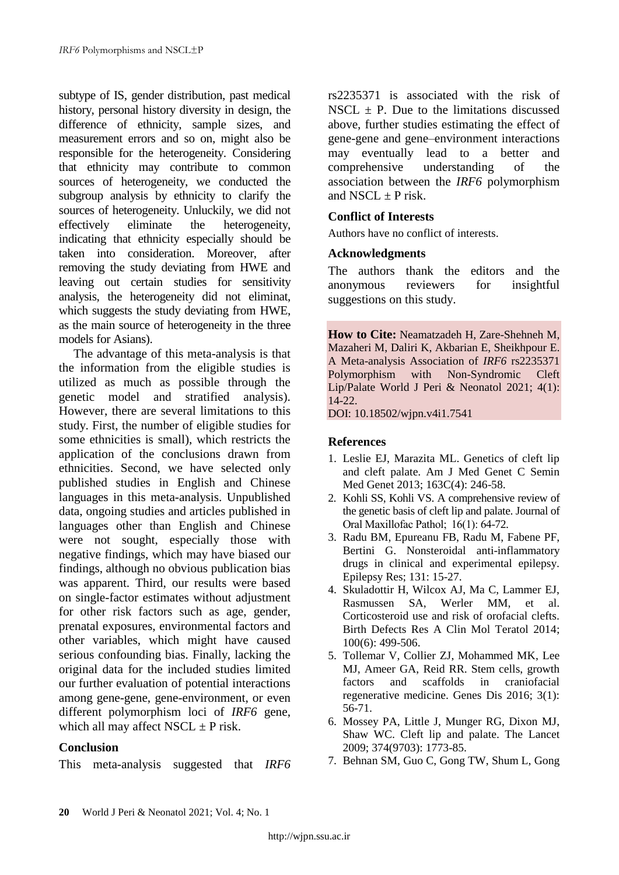subtype of IS, gender distribution, past medical history, personal history diversity in design, the difference of ethnicity, sample sizes, and measurement errors and so on, might also be responsible for the heterogeneity. Considering that ethnicity may contribute to common sources of heterogeneity, we conducted the subgroup analysis by ethnicity to clarify the sources of heterogeneity. Unluckily, we did not<br>effectively eliminate the heterogeneity. effectively eliminate the heterogeneity, indicating that ethnicity especially should be taken into consideration. Moreover, after removing the study deviating from HWE and leaving out certain studies for sensitivity analysis, the heterogeneity did not eliminat, which suggests the study deviating from HWE, as the main source of heterogeneity in the three models for Asians).

The advantage of this meta-analysis is that the information from the eligible studies is utilized as much as possible through the genetic model and stratified analysis). However, there are several limitations to this study. First, the number of eligible studies for some ethnicities is small), which restricts the application of the conclusions drawn from ethnicities. Second, we have selected only published studies in English and Chinese languages in this meta-analysis. Unpublished data, ongoing studies and articles published in languages other than English and Chinese were not sought, especially those with negative findings, which may have biased our findings, although no obvious publication bias was apparent. Third, our results were based on single-factor estimates without adjustment for other risk factors such as age, gender, prenatal exposures, environmental factors and other variables, which might have caused serious confounding bias. Finally, lacking the original data for the included studies limited our further evaluation of potential interactions among gene-gene, gene-environment, or even different polymorphism loci of *IRF6* gene, which all may affect NSCL  $\pm$  P risk.

## **Conclusion**

This meta-analysis suggested that *IRF6*

rs2235371 is associated with the risk of NSCL  $\pm$  P. Due to the limitations discussed above, further studies estimating the effect of gene-gene and gene–environment interactions may eventually lead to a better and comprehensive understanding of the association between the *IRF6* polymorphism and NSCL  $\pm$  P risk.

# **Conflict of Interests**

Authors have no conflict of interests.

#### **Acknowledgments**

The authors thank the editors and the anonymous reviewers for insightful suggestions on this study.

**How to Cite:** Neamatzadeh H, Zare-Shehneh M, Mazaheri M, Daliri K, Akbarian E, Sheikhpour E. A Meta-analysis Association of *IRF6* rs2235371 Polymorphism with Non-Syndromic Cleft Lip/Palate World J Peri & Neonatol 2021; 4(1): 14-22.

DOI: 10.18502/wjpn.v4i1.7541

#### **References**

- 1. Leslie EJ, Marazita ML. Genetics of cleft lip and cleft palate. Am J Med Genet C Semin Med Genet 2013; 163C(4): 246-58.
- 2. Kohli SS, Kohli VS. A comprehensive review of the genetic basis of cleft lip and palate. Journal of Oral Maxillofac Pathol;  16(1): 64-72.
- 3. Radu BM, Epureanu FB, Radu M, Fabene PF, Bertini G. Nonsteroidal anti-inflammatory drugs in clinical and experimental epilepsy. Epilepsy Res; 131: 15-27.
- 4. Skuladottir H, Wilcox AJ, Ma C, Lammer EJ, Rasmussen SA, Werler MM, et al. Corticosteroid use and risk of orofacial clefts. Birth Defects Res A Clin Mol Teratol 2014; 100(6): 499-506.
- 5. Tollemar V, Collier ZJ, Mohammed MK, Lee MJ, Ameer GA, Reid RR. Stem cells, growth factors and scaffolds in craniofacial regenerative medicine. Genes Dis 2016; 3(1): 56-71.
- 6. Mossey PA, Little J, Munger RG, Dixon MJ, Shaw WC. Cleft lip and palate. The Lancet 2009; 374(9703): 1773-85.
- 7. Behnan SM, Guo C, Gong TW, Shum L, Gong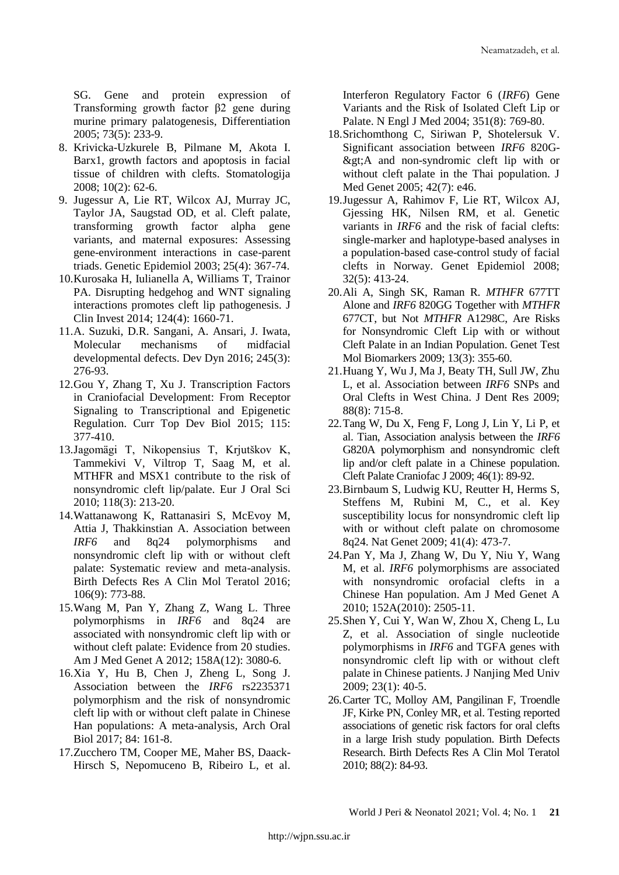SG. Gene and protein expression of Transforming growth factor β2 gene during murine primary palatogenesis, Differentiation 2005; 73(5): 233-9.

- 8. Krivicka-Uzkurele B, Pilmane M, Akota I. Barx1, growth factors and apoptosis in facial tissue of children with clefts. Stomatologija 2008; 10(2): 62-6.
- 9. Jugessur A, Lie RT, Wilcox AJ, Murray JC, Taylor JA, Saugstad OD, et al. Cleft palate, transforming growth factor alpha gene variants, and maternal exposures: Assessing gene-environment interactions in case-parent triads. Genetic Epidemiol 2003; 25(4): 367-74.
- 10.Kurosaka H, Iulianella A, Williams T, Trainor PA. Disrupting hedgehog and WNT signaling interactions promotes cleft lip pathogenesis. J Clin Invest 2014; 124(4): 1660-71.
- 11.A. Suzuki, D.R. Sangani, A. Ansari, J. Iwata, Molecular mechanisms of midfacial developmental defects. Dev Dyn 2016; 245(3): 276-93.
- 12.Gou Y, Zhang T, Xu J. Transcription Factors in Craniofacial Development: From Receptor Signaling to Transcriptional and Epigenetic Regulation. Curr Top Dev Biol 2015; 115: 377-410.
- 13.Jagomägi T, Nikopensius T, Krjutškov K, Tammekivi V, Viltrop T, Saag M, et al. MTHFR and MSX1 contribute to the risk of nonsyndromic cleft lip/palate. Eur J Oral Sci 2010; 118(3): 213-20.
- 14.Wattanawong K, Rattanasiri S, McEvoy M, Attia J, Thakkinstian A. Association between *IRF6* and 8q24 polymorphisms and nonsyndromic cleft lip with or without cleft palate: Systematic review and meta-analysis. Birth Defects Res A Clin Mol Teratol 2016; 106(9): 773-88.
- 15.Wang M, Pan Y, Zhang Z, Wang L. Three polymorphisms in *IRF6* and 8q24 are associated with nonsyndromic cleft lip with or without cleft palate: Evidence from 20 studies. Am J Med Genet A 2012; 158A(12): 3080-6.
- 16.Xia Y, Hu B, Chen J, Zheng L, Song J. Association between the *IRF6* rs2235371 polymorphism and the risk of nonsyndromic cleft lip with or without cleft palate in Chinese Han populations: A meta-analysis, Arch Oral Biol 2017; 84: 161-8.
- 17.Zucchero TM, Cooper ME, Maher BS, Daack-Hirsch S, Nepomuceno B, Ribeiro L, et al.

Interferon Regulatory Factor 6 (*IRF6*) Gene Variants and the Risk of Isolated Cleft Lip or Palate. N Engl J Med 2004; 351(8): 769-80.

- 18.Srichomthong C, Siriwan P, Shotelersuk V. Significant association between *IRF6* 820G- >A and non-syndromic cleft lip with or without cleft palate in the Thai population. J Med Genet 2005; 42(7): e46.
- 19.Jugessur A, Rahimov F, Lie RT, Wilcox AJ, Gjessing HK, Nilsen RM, et al. Genetic variants in *IRF6* and the risk of facial clefts: single-marker and haplotype-based analyses in a population-based case-control study of facial clefts in Norway. Genet Epidemiol 2008; 32(5): 413-24.
- 20.Ali A, Singh SK, Raman R. *MTHFR* 677TT Alone and *IRF6* 820GG Together with *MTHFR* 677CT, but Not *MTHFR* A1298C, Are Risks for Nonsyndromic Cleft Lip with or without Cleft Palate in an Indian Population. Genet Test Mol Biomarkers 2009; 13(3): 355-60.
- 21.Huang Y, Wu J, Ma J, Beaty TH, Sull JW, Zhu L, et al. Association between *IRF6* SNPs and Oral Clefts in West China. J Dent Res 2009; 88(8): 715-8.
- 22.Tang W, Du X, Feng F, Long J, Lin Y, Li P, et al. Tian, Association analysis between the *IRF6*  G820A polymorphism and nonsyndromic cleft lip and/or cleft palate in a Chinese population. Cleft Palate Craniofac J 2009; 46(1): 89-92.
- 23.Birnbaum S, Ludwig KU, Reutter H, Herms S, Steffens M, Rubini M, C., et al. Key susceptibility locus for nonsyndromic cleft lip with or without cleft palate on chromosome 8q24. Nat Genet 2009; 41(4): 473-7.
- 24.Pan Y, Ma J, Zhang W, Du Y, Niu Y, Wang M, et al. *IRF6* polymorphisms are associated with nonsyndromic orofacial clefts in a Chinese Han population. Am J Med Genet A 2010; 152A(2010): 2505-11.
- 25.Shen Y, Cui Y, Wan W, Zhou X, Cheng L, Lu Z, et al. Association of single nucleotide polymorphisms in *IRF6* and TGFA genes with nonsyndromic cleft lip with or without cleft palate in Chinese patients. J Nanjing Med Univ 2009; 23(1): 40-5.
- 26.Carter TC, Molloy AM, Pangilinan F, Troendle JF, Kirke PN, Conley MR, et al. Testing reported associations of genetic risk factors for oral clefts in a large Irish study population. Birth Defects Research. Birth Defects Res A Clin Mol Teratol 2010; 88(2): 84-93.